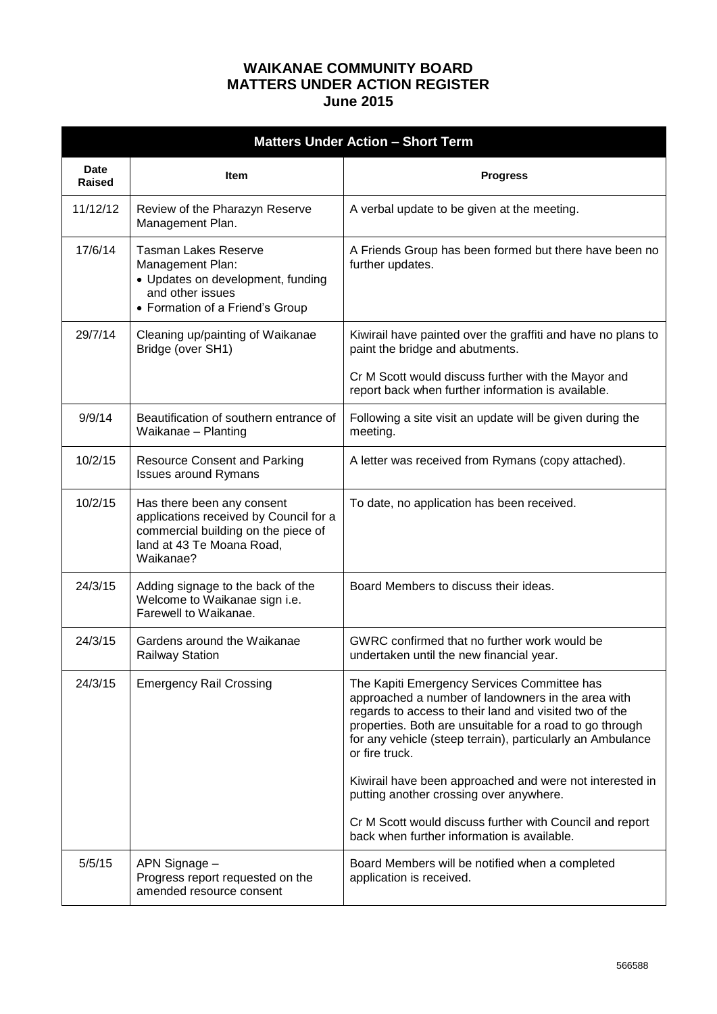## **WAIKANAE COMMUNITY BOARD MATTERS UNDER ACTION REGISTER June 2015**

| <b>Matters Under Action - Short Term</b> |                                                                                                                                                       |                                                                                                                                                                                                                                                                                                         |  |  |  |  |  |
|------------------------------------------|-------------------------------------------------------------------------------------------------------------------------------------------------------|---------------------------------------------------------------------------------------------------------------------------------------------------------------------------------------------------------------------------------------------------------------------------------------------------------|--|--|--|--|--|
| <b>Date</b><br>Raised                    | <b>Item</b>                                                                                                                                           | <b>Progress</b>                                                                                                                                                                                                                                                                                         |  |  |  |  |  |
| 11/12/12                                 | Review of the Pharazyn Reserve<br>Management Plan.                                                                                                    | A verbal update to be given at the meeting.                                                                                                                                                                                                                                                             |  |  |  |  |  |
| 17/6/14                                  | <b>Tasman Lakes Reserve</b><br>Management Plan:<br>• Updates on development, funding<br>and other issues<br>• Formation of a Friend's Group           | A Friends Group has been formed but there have been no<br>further updates.                                                                                                                                                                                                                              |  |  |  |  |  |
| 29/7/14                                  | Cleaning up/painting of Waikanae<br>Bridge (over SH1)                                                                                                 | Kiwirail have painted over the graffiti and have no plans to<br>paint the bridge and abutments.                                                                                                                                                                                                         |  |  |  |  |  |
|                                          |                                                                                                                                                       | Cr M Scott would discuss further with the Mayor and<br>report back when further information is available.                                                                                                                                                                                               |  |  |  |  |  |
| 9/9/14                                   | Beautification of southern entrance of<br>Waikanae - Planting                                                                                         | Following a site visit an update will be given during the<br>meeting.                                                                                                                                                                                                                                   |  |  |  |  |  |
| 10/2/15                                  | <b>Resource Consent and Parking</b><br><b>Issues around Rymans</b>                                                                                    | A letter was received from Rymans (copy attached).                                                                                                                                                                                                                                                      |  |  |  |  |  |
| 10/2/15                                  | Has there been any consent<br>applications received by Council for a<br>commercial building on the piece of<br>land at 43 Te Moana Road,<br>Waikanae? | To date, no application has been received.                                                                                                                                                                                                                                                              |  |  |  |  |  |
| 24/3/15                                  | Adding signage to the back of the<br>Welcome to Waikanae sign i.e.<br>Farewell to Waikanae.                                                           | Board Members to discuss their ideas.                                                                                                                                                                                                                                                                   |  |  |  |  |  |
| 24/3/15                                  | Gardens around the Waikanae<br><b>Railway Station</b>                                                                                                 | GWRC confirmed that no further work would be<br>undertaken until the new financial year.                                                                                                                                                                                                                |  |  |  |  |  |
| 24/3/15                                  | <b>Emergency Rail Crossing</b>                                                                                                                        | The Kapiti Emergency Services Committee has<br>approached a number of landowners in the area with<br>regards to access to their land and visited two of the<br>properties. Both are unsuitable for a road to go through<br>for any vehicle (steep terrain), particularly an Ambulance<br>or fire truck. |  |  |  |  |  |
|                                          |                                                                                                                                                       | Kiwirail have been approached and were not interested in<br>putting another crossing over anywhere.                                                                                                                                                                                                     |  |  |  |  |  |
|                                          |                                                                                                                                                       | Cr M Scott would discuss further with Council and report<br>back when further information is available.                                                                                                                                                                                                 |  |  |  |  |  |
| 5/5/15                                   | APN Signage -<br>Progress report requested on the<br>amended resource consent                                                                         | Board Members will be notified when a completed<br>application is received.                                                                                                                                                                                                                             |  |  |  |  |  |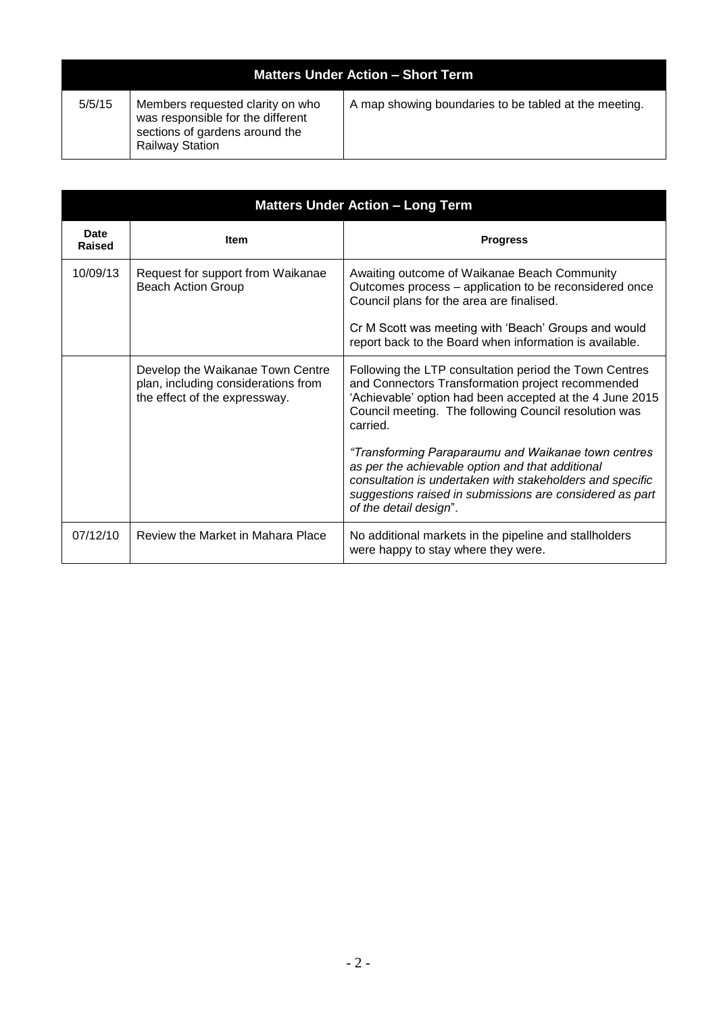| <b>Matters Under Action - Short Term</b> |                                                                                                                                   |                                                       |  |  |  |  |  |
|------------------------------------------|-----------------------------------------------------------------------------------------------------------------------------------|-------------------------------------------------------|--|--|--|--|--|
| 5/5/15                                   | Members requested clarity on who<br>was responsible for the different<br>sections of gardens around the<br><b>Railway Station</b> | A map showing boundaries to be tabled at the meeting. |  |  |  |  |  |

| <b>Matters Under Action - Long Term</b> |                                                                                                          |                                                                                                                                                                                                                                                                        |  |  |  |  |  |  |
|-----------------------------------------|----------------------------------------------------------------------------------------------------------|------------------------------------------------------------------------------------------------------------------------------------------------------------------------------------------------------------------------------------------------------------------------|--|--|--|--|--|--|
| <b>Date</b><br>Raised                   | <b>Item</b>                                                                                              | <b>Progress</b>                                                                                                                                                                                                                                                        |  |  |  |  |  |  |
| 10/09/13                                | Request for support from Waikanae<br><b>Beach Action Group</b>                                           | Awaiting outcome of Waikanae Beach Community<br>Outcomes process – application to be reconsidered once<br>Council plans for the area are finalised.<br>Cr M Scott was meeting with 'Beach' Groups and would<br>report back to the Board when information is available. |  |  |  |  |  |  |
|                                         | Develop the Waikanae Town Centre<br>plan, including considerations from<br>the effect of the expressway. | Following the LTP consultation period the Town Centres<br>and Connectors Transformation project recommended<br>'Achievable' option had been accepted at the 4 June 2015<br>Council meeting. The following Council resolution was<br>carried.                           |  |  |  |  |  |  |
|                                         |                                                                                                          | "Transforming Paraparaumu and Waikanae town centres<br>as per the achievable option and that additional<br>consultation is undertaken with stakeholders and specific<br>suggestions raised in submissions are considered as part<br>of the detail design".             |  |  |  |  |  |  |
| 07/12/10                                | Review the Market in Mahara Place                                                                        | No additional markets in the pipeline and stallholders<br>were happy to stay where they were.                                                                                                                                                                          |  |  |  |  |  |  |